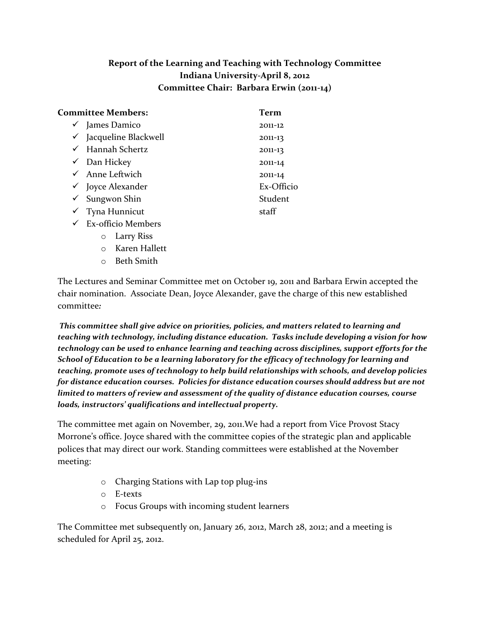## **Report of the Learning and Teaching with Technology Committee Indiana University-April 8, 2012 Committee Chair: Barbara Erwin (2011-14)**

| Committee Members:                                                                                                                                                                                                                                                                                                                                                                   | Term       |
|--------------------------------------------------------------------------------------------------------------------------------------------------------------------------------------------------------------------------------------------------------------------------------------------------------------------------------------------------------------------------------------|------------|
| $\checkmark$ James Damico                                                                                                                                                                                                                                                                                                                                                            | 2011-12    |
| Jacqueline Blackwell<br>✓                                                                                                                                                                                                                                                                                                                                                            | 2011-13    |
| Hannah Schertz<br>✓                                                                                                                                                                                                                                                                                                                                                                  | 2011-13    |
| Dan Hickey<br>$\checkmark$                                                                                                                                                                                                                                                                                                                                                           | 2011-14    |
| $\checkmark$ Anne Leftwich                                                                                                                                                                                                                                                                                                                                                           | 2011-14    |
| $\checkmark$ Joyce Alexander                                                                                                                                                                                                                                                                                                                                                         | Ex-Officio |
| Sungwon Shin<br>✓                                                                                                                                                                                                                                                                                                                                                                    | Student    |
| Tyna Hunnicut<br>✓                                                                                                                                                                                                                                                                                                                                                                   | staff      |
| <b>Ex-officio Members</b><br>$\checkmark$                                                                                                                                                                                                                                                                                                                                            |            |
| Larry Riss<br>$\circ$                                                                                                                                                                                                                                                                                                                                                                |            |
| $\overline{V}$ $\overline{V}$ $\overline{V}$ $\overline{V}$ $\overline{V}$ $\overline{V}$ $\overline{V}$ $\overline{V}$ $\overline{V}$ $\overline{V}$ $\overline{V}$ $\overline{V}$ $\overline{V}$ $\overline{V}$ $\overline{V}$ $\overline{V}$ $\overline{V}$ $\overline{V}$ $\overline{V}$ $\overline{V}$ $\overline{V}$ $\overline{V}$ $\overline{V}$ $\overline{V}$ $\overline{$ |            |

- o Karen Hallett
- o Beth Smith

The Lectures and Seminar Committee met on October 19, 2011 and Barbara Erwin accepted the chair nomination. Associate Dean, Joyce Alexander, gave the charge of this new established committee*:* 

*This committee shall give advice on priorities, policies, and matters related to learning and teaching with technology, including distance education. Tasks include developing a vision for how technology can be used to enhance learning and teaching across disciplines, support efforts for the School of Education to be a learning laboratory for the efficacy of technology for learning and teaching, promote uses of technology to help build relationships with schools, and develop policies for distance education courses. Policies for distance education courses should address but are not limited to matters of review and assessment of the quality of distance education courses, course loads, instructors' qualifications and intellectual property.*

The committee met again on November, 29, 2011.We had a report from Vice Provost Stacy Morrone's office. Joyce shared with the committee copies of the strategic plan and applicable polices that may direct our work. Standing committees were established at the November meeting:

- o Charging Stations with Lap top plug-ins
- o E-texts
- o Focus Groups with incoming student learners

The Committee met subsequently on, January 26, 2012, March 28, 2012; and a meeting is scheduled for April 25, 2012.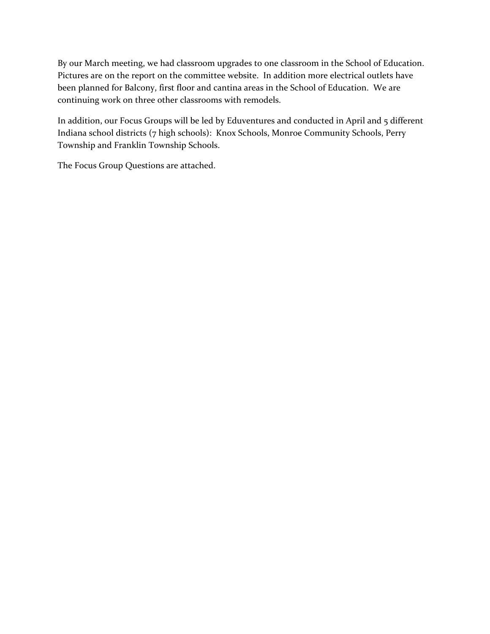By our March meeting, we had classroom upgrades to one classroom in the School of Education. Pictures are on the report on the committee website. In addition more electrical outlets have been planned for Balcony, first floor and cantina areas in the School of Education. We are continuing work on three other classrooms with remodels.

In addition, our Focus Groups will be led by Eduventures and conducted in April and 5 different Indiana school districts (7 high schools): Knox Schools, Monroe Community Schools, Perry Township and Franklin Township Schools.

The Focus Group Questions are attached.